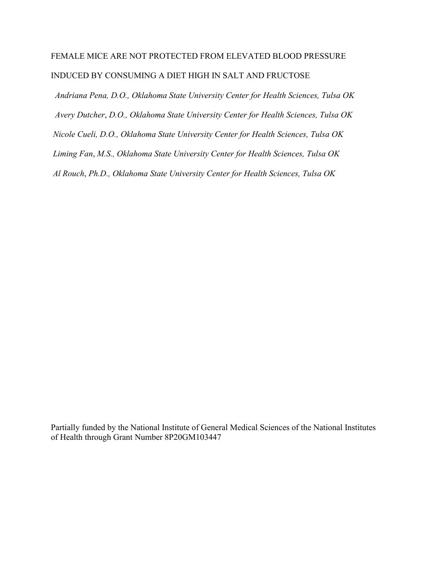# FEMALE MICE ARE NOT PROTECTED FROM ELEVATED BLOOD PRESSURE INDUCED BY CONSUMING A DIET HIGH IN SALT AND FRUCTOSE

 *Andriana Pena, D.O., Oklahoma State University Center for Health Sciences, Tulsa OK Avery Dutcher*, *D.O., Oklahoma State University Center for Health Sciences, Tulsa OK Nicole Cueli, D.O., Oklahoma State University Center for Health Sciences, Tulsa OK Liming Fan*, *M.S., Oklahoma State University Center for Health Sciences, Tulsa OK Al Rouch*, *Ph.D., Oklahoma State University Center for Health Sciences, Tulsa OK*

Partially funded by the National Institute of General Medical Sciences of the National Institutes of Health through Grant Number 8P20GM103447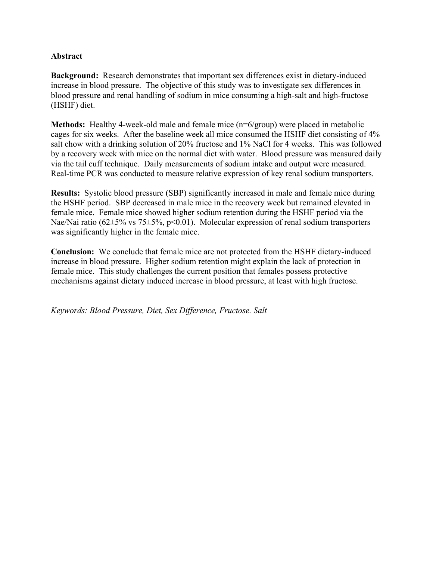## **Abstract**

**Background:** Research demonstrates that important sex differences exist in dietary-induced increase in blood pressure. The objective of this study was to investigate sex differences in blood pressure and renal handling of sodium in mice consuming a high-salt and high-fructose (HSHF) diet.

**Methods:** Healthy 4-week-old male and female mice (n=6/group) were placed in metabolic cages for six weeks. After the baseline week all mice consumed the HSHF diet consisting of 4% salt chow with a drinking solution of 20% fructose and 1% NaCl for 4 weeks. This was followed by a recovery week with mice on the normal diet with water. Blood pressure was measured daily via the tail cuff technique. Daily measurements of sodium intake and output were measured. Real-time PCR was conducted to measure relative expression of key renal sodium transporters.

**Results:** Systolic blood pressure (SBP) significantly increased in male and female mice during the HSHF period. SBP decreased in male mice in the recovery week but remained elevated in female mice. Female mice showed higher sodium retention during the HSHF period via the Nae/Nai ratio (62±5% vs 75±5%, p<0.01). Molecular expression of renal sodium transporters was significantly higher in the female mice.

**Conclusion:** We conclude that female mice are not protected from the HSHF dietary-induced increase in blood pressure. Higher sodium retention might explain the lack of protection in female mice. This study challenges the current position that females possess protective mechanisms against dietary induced increase in blood pressure, at least with high fructose.

*Keywords: Blood Pressure, Diet, Sex Difference, Fructose. Salt*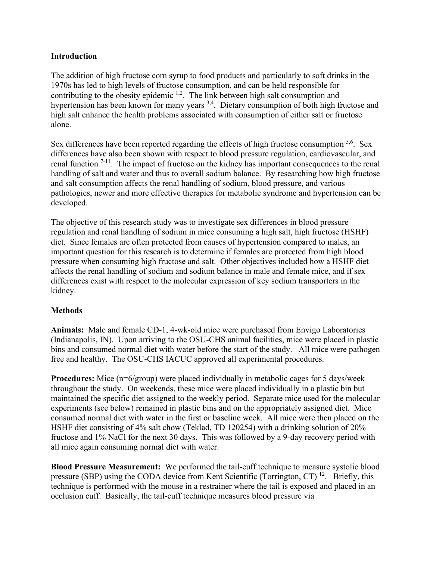## **Introduction**

The addition of high fructose corn syrup to food products and particularly to soft drinks in the 1970s has led to high levels of fructose consumption, and can be held responsible for contributing to the obesity epidemic  $1,2$ . The link between high salt consumption and hypertension has been known for many years <sup>3,4</sup>. Dietary consumption of both high fructose and high salt enhance the health problems associated with consumption of either salt or fructose alone.

Sex differences have been reported regarding the effects of high fructose consumption  $5.6$ . Sex differences have also been shown with respect to blood pressure regulation, cardiovascular, and renal function 7-11. The impact of fructose on the kidney has important consequences to the renal handling of salt and water and thus to overall sodium balance. By researching how high fructose and salt consumption affects the renal handling of sodium, blood pressure, and various pathologies, newer and more effective therapies for metabolic syndrome and hypertension can be developed.

The objective of this research study was to investigate sex differences in blood pressure regulation and renal handling of sodium in mice consuming a high salt, high fructose (HSHF) diet. Since females are often protected from causes of hypertension compared to males, an important question for this research is to determine if females are protected from high blood pressure when consuming high fructose and salt. Other objectives included how a HSHF diet affects the renal handling of sodium and sodium balance in male and female mice, and if sex differences exist with respect to the molecular expression of key sodium transporters in the kidney.

## **Methods**

**Animals:** Male and female CD-1, 4-wk-old mice were purchased from Envigo Laboratories (Indianapolis, IN). Upon arriving to the OSU-CHS animal facilities, mice were placed in plastic bins and consumed normal diet with water before the start of the study. All mice were pathogen free and healthy. The OSU-CHS IACUC approved all experimental procedures.

**Procedures:** Mice (n=6/group) were placed individually in metabolic cages for 5 days/week throughout the study. On weekends, these mice were placed individually in a plastic bin but maintained the specific diet assigned to the weekly period. Separate mice used for the molecular experiments (see below) remained in plastic bins and on the appropriately assigned diet. Mice consumed normal diet with water in the first or baseline week. All mice were then placed on the HSHF diet consisting of 4% salt chow (Teklad, TD 120254) with a drinking solution of 20% fructose and 1% NaCl for the next 30 days. This was followed by a 9-day recovery period with all mice again consuming normal diet with water.

**Blood Pressure Measurement:** We performed the tail-cuff technique to measure systolic blood pressure (SBP) using the CODA device from Kent Scientific (Torrington, CT)<sup>12</sup>. Briefly, this technique is performed with the mouse in a restrainer where the tail is exposed and placed in an occlusion cuff. Basically, the tail-cuff technique measures blood pressure via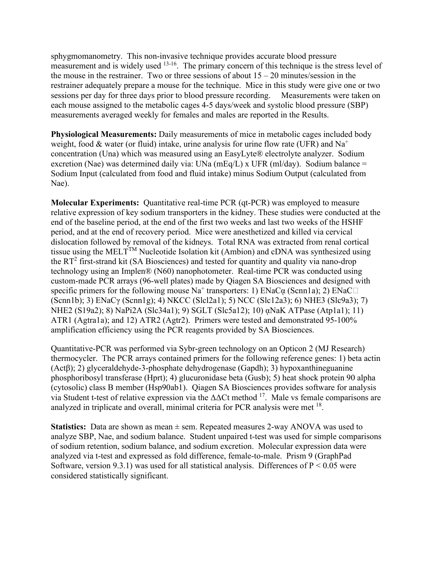sphygmomanometry. This non-invasive technique provides accurate blood pressure measurement and is widely used  $13-16$ . The primary concern of this technique is the stress level of the mouse in the restrainer. Two or three sessions of about  $15 - 20$  minutes/session in the restrainer adequately prepare a mouse for the technique. Mice in this study were give one or two sessions per day for three days prior to blood pressure recording. Measurements were taken on each mouse assigned to the metabolic cages 4-5 days/week and systolic blood pressure (SBP) measurements averaged weekly for females and males are reported in the Results.

**Physiological Measurements:** Daily measurements of mice in metabolic cages included body weight, food & water (or fluid) intake, urine analysis for urine flow rate (UFR) and  $Na<sup>+</sup>$ concentration (Una) which was measured using an EasyLyte® electrolyte analyzer. Sodium excretion (Nae) was determined daily via: UNa (mEq/L) x UFR (ml/day). Sodium balance = Sodium Input (calculated from food and fluid intake) minus Sodium Output (calculated from Nae).

**Molecular Experiments:** Quantitative real-time PCR (qt-PCR) was employed to measure relative expression of key sodium transporters in the kidney. These studies were conducted at the end of the baseline period, at the end of the first two weeks and last two weeks of the HSHF period, and at the end of recovery period. Mice were anesthetized and killed via cervical dislocation followed by removal of the kidneys. Total RNA was extracted from renal cortical tissue using the MELT<sup>TM</sup> Nucleotide Isolation kit (Ambion) and cDNA was synthesized using the  $RT^2$  first-strand kit (SA Biosciences) and tested for quantity and quality via nano-drop technology using an Implen® (N60) nanophotometer. Real-time PCR was conducted using custom-made PCR arrays (96-well plates) made by Qiagen SA Biosciences and designed with specific primers for the following mouse  $Na^+$  transporters: 1)  $ENaC\alpha$  (Scnn1a); 2)  $ENaC\Box$ (Scnn1b); 3) ENaCγ (Scnn1g); 4) NKCC (Slcl2a1); 5) NCC (Slc12a3); 6) NHE3 (Slc9a3); 7) NHE2 (S19a2); 8) NaPi2A (Slc34a1); 9) SGLT (Slc5a12); 10) ᾳNaK ATPase (Atp1a1); 11) ATR1 (Agtra1a); and 12) ATR2 (Agtr2). Primers were tested and demonstrated 95-100% amplification efficiency using the PCR reagents provided by SA Biosciences.

Quantitative-PCR was performed via Sybr-green technology on an Opticon 2 (MJ Research) thermocycler. The PCR arrays contained primers for the following reference genes: 1) beta actin (Actβ); 2) glyceraldehyde-3-phosphate dehydrogenase (Gapdh); 3) hypoxanthineguanine phosphoribosyl transferase (Hprt); 4) glucuronidase beta (Gusb); 5) heat shock protein 90 alpha (cytosolic) class B member (Hsp90ab1). Qiagen SA Biosciences provides software for analysis via Student t-test of relative expression via the  $\Delta\Delta$ Ct method <sup>17</sup>. Male vs female comparisons are analyzed in triplicate and overall, minimal criteria for PCR analysis were met  $^{18}$ .

**Statistics:** Data are shown as mean ± sem. Repeated measures 2-way ANOVA was used to analyze SBP, Nae, and sodium balance. Student unpaired t-test was used for simple comparisons of sodium retention, sodium balance, and sodium excretion. Molecular expression data were analyzed via t-test and expressed as fold difference, female-to-male. Prism 9 (GraphPad Software, version 9.3.1) was used for all statistical analysis. Differences of  $P < 0.05$  were considered statistically significant.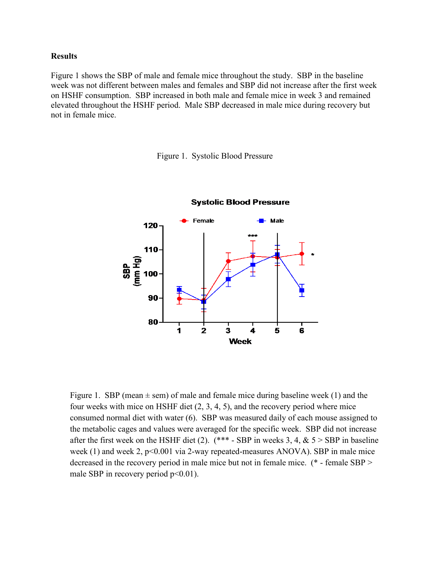#### **Results**

Figure 1 shows the SBP of male and female mice throughout the study. SBP in the baseline week was not different between males and females and SBP did not increase after the first week on HSHF consumption. SBP increased in both male and female mice in week 3 and remained elevated throughout the HSHF period. Male SBP decreased in male mice during recovery but not in female mice.

Figure 1. Systolic Blood Pressure



Figure 1. SBP (mean  $\pm$  sem) of male and female mice during baseline week (1) and the four weeks with mice on HSHF diet (2, 3, 4, 5), and the recovery period where mice consumed normal diet with water (6). SBP was measured daily of each mouse assigned to the metabolic cages and values were averaged for the specific week. SBP did not increase after the first week on the HSHF diet (2).  $(*** - SBP$  in weeks 3, 4, & 5 > SBP in baseline week (1) and week 2,  $p<0.001$  via 2-way repeated-measures ANOVA). SBP in male mice decreased in the recovery period in male mice but not in female mice. (\* - female SBP > male SBP in recovery period  $p<0.01$ ).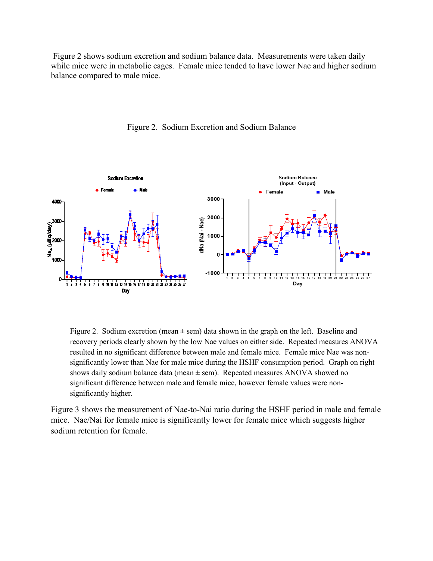Figure 2 shows sodium excretion and sodium balance data. Measurements were taken daily while mice were in metabolic cages. Female mice tended to have lower Nae and higher sodium balance compared to male mice.



Figure 2. Sodium Excretion and Sodium Balance

Figure 2. Sodium excretion (mean  $\pm$  sem) data shown in the graph on the left. Baseline and recovery periods clearly shown by the low Nae values on either side. Repeated measures ANOVA resulted in no significant difference between male and female mice. Female mice Nae was nonsignificantly lower than Nae for male mice during the HSHF consumption period. Graph on right shows daily sodium balance data (mean  $\pm$  sem). Repeated measures ANOVA showed no significant difference between male and female mice, however female values were nonsignificantly higher.

Figure 3 shows the measurement of Nae-to-Nai ratio during the HSHF period in male and female mice. Nae/Nai for female mice is significantly lower for female mice which suggests higher sodium retention for female.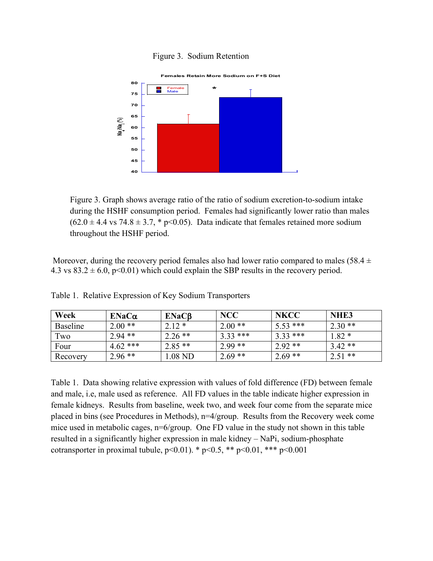#### Figure 3. Sodium Retention



Figure 3. Graph shows average ratio of the ratio of sodium excretion-to-sodium intake during the HSHF consumption period. Females had significantly lower ratio than males  $(62.0 \pm 4.4 \text{ vs } 74.8 \pm 3.7, * \text{ p} < 0.05)$ . Data indicate that females retained more sodium throughout the HSHF period.

Moreover, during the recovery period females also had lower ratio compared to males (58.4  $\pm$ 4.3 vs  $83.2 \pm 6.0$ , p<0.01) which could explain the SBP results in the recovery period.

| Week     | $ENaC\alpha$ | ENaCB     | <b>NCC</b> | <b>NKCC</b> | NHE <sub>3</sub> |
|----------|--------------|-----------|------------|-------------|------------------|
| Baseline | $2.00**$     | $2.12*$   | $2.00**$   | $5.53$ ***  | $2.30**$         |
| Two      | $2.94$ **    | $2.26$ ** | $3.33$ *** | $3.33***$   | $1.82*$          |
| Four     | $4.62$ ***   | $2.85**$  | $2.99**$   | $2.92**$    | $3.42**$         |
| Recovery | $2.96**$     | 1.08 ND   | $2.69**$   | $2.69**$    | $2.51$ **        |

Table 1. Relative Expression of Key Sodium Transporters

Table 1. Data showing relative expression with values of fold difference (FD) between female and male, i.e, male used as reference. All FD values in the table indicate higher expression in female kidneys. Results from baseline, week two, and week four come from the separate mice placed in bins (see Procedures in Methods), n=4/group. Results from the Recovery week come mice used in metabolic cages, n=6/group. One FD value in the study not shown in this table resulted in a significantly higher expression in male kidney – NaPi, sodium-phosphate cotransporter in proximal tubule,  $p<0.01$ ). \*  $p<0.5$ , \*\*  $p<0.01$ , \*\*\*  $p<0.001$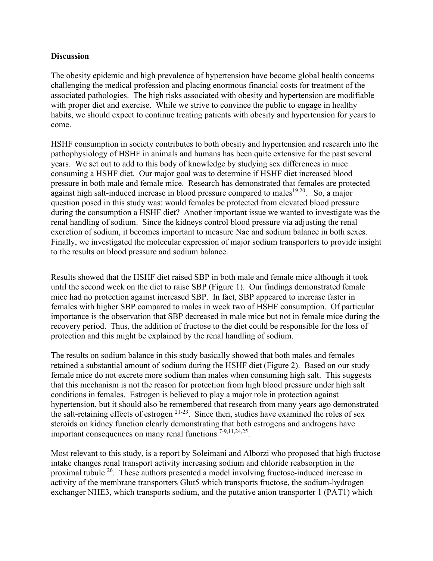## **Discussion**

The obesity epidemic and high prevalence of hypertension have become global health concerns challenging the medical profession and placing enormous financial costs for treatment of the associated pathologies. The high risks associated with obesity and hypertension are modifiable with proper diet and exercise. While we strive to convince the public to engage in healthy habits, we should expect to continue treating patients with obesity and hypertension for years to come.

HSHF consumption in society contributes to both obesity and hypertension and research into the pathophysiology of HSHF in animals and humans has been quite extensive for the past several years. We set out to add to this body of knowledge by studying sex differences in mice consuming a HSHF diet. Our major goal was to determine if HSHF diet increased blood pressure in both male and female mice. Research has demonstrated that females are protected against high salt-induced increase in blood pressure compared to males<sup>19,20</sup>. So, a major question posed in this study was: would females be protected from elevated blood pressure during the consumption a HSHF diet? Another important issue we wanted to investigate was the renal handling of sodium. Since the kidneys control blood pressure via adjusting the renal excretion of sodium, it becomes important to measure Nae and sodium balance in both sexes. Finally, we investigated the molecular expression of major sodium transporters to provide insight to the results on blood pressure and sodium balance.

Results showed that the HSHF diet raised SBP in both male and female mice although it took until the second week on the diet to raise SBP (Figure 1). Our findings demonstrated female mice had no protection against increased SBP. In fact, SBP appeared to increase faster in females with higher SBP compared to males in week two of HSHF consumption. Of particular importance is the observation that SBP decreased in male mice but not in female mice during the recovery period. Thus, the addition of fructose to the diet could be responsible for the loss of protection and this might be explained by the renal handling of sodium.

The results on sodium balance in this study basically showed that both males and females retained a substantial amount of sodium during the HSHF diet (Figure 2). Based on our study female mice do not excrete more sodium than males when consuming high salt. This suggests that this mechanism is not the reason for protection from high blood pressure under high salt conditions in females. Estrogen is believed to play a major role in protection against hypertension, but it should also be remembered that research from many years ago demonstrated the salt-retaining effects of estrogen  $2^{1-23}$ . Since then, studies have examined the roles of sex steroids on kidney function clearly demonstrating that both estrogens and androgens have important consequences on many renal functions 7-9,11,24,25.

Most relevant to this study, is a report by Soleimani and Alborzi who proposed that high fructose intake changes renal transport activity increasing sodium and chloride reabsorption in the proximal tubule 26. These authors presented a model involving fructose-induced increase in activity of the membrane transporters Glut5 which transports fructose, the sodium-hydrogen exchanger NHE3, which transports sodium, and the putative anion transporter 1 (PAT1) which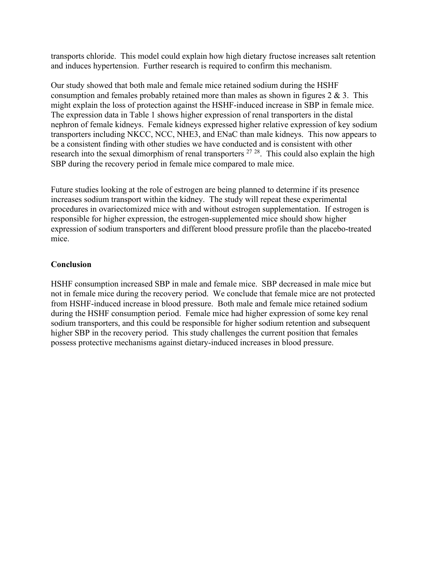transports chloride. This model could explain how high dietary fructose increases salt retention and induces hypertension. Further research is required to confirm this mechanism.

Our study showed that both male and female mice retained sodium during the HSHF consumption and females probably retained more than males as shown in figures  $2 \& 3$ . This might explain the loss of protection against the HSHF-induced increase in SBP in female mice. The expression data in Table 1 shows higher expression of renal transporters in the distal nephron of female kidneys. Female kidneys expressed higher relative expression of key sodium transporters including NKCC, NCC, NHE3, and ENaC than male kidneys. This now appears to be a consistent finding with other studies we have conducted and is consistent with other research into the sexual dimorphism of renal transporters <sup>27</sup><sup>28</sup>. This could also explain the high SBP during the recovery period in female mice compared to male mice.

Future studies looking at the role of estrogen are being planned to determine if its presence increases sodium transport within the kidney. The study will repeat these experimental procedures in ovariectomized mice with and without estrogen supplementation. If estrogen is responsible for higher expression, the estrogen-supplemented mice should show higher expression of sodium transporters and different blood pressure profile than the placebo-treated mice.

## **Conclusion**

HSHF consumption increased SBP in male and female mice. SBP decreased in male mice but not in female mice during the recovery period. We conclude that female mice are not protected from HSHF-induced increase in blood pressure. Both male and female mice retained sodium during the HSHF consumption period. Female mice had higher expression of some key renal sodium transporters, and this could be responsible for higher sodium retention and subsequent higher SBP in the recovery period. This study challenges the current position that females possess protective mechanisms against dietary-induced increases in blood pressure.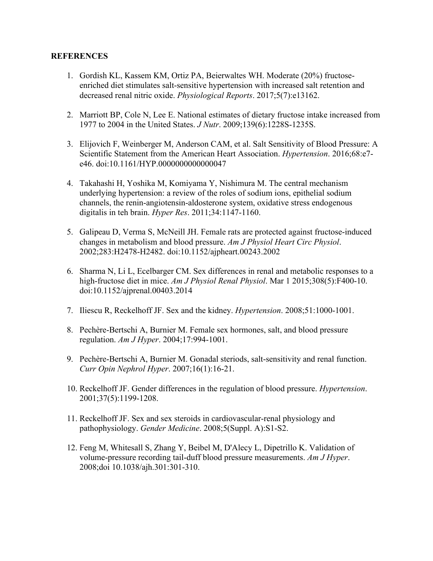### **REFERENCES**

- 1. Gordish KL, Kassem KM, Ortiz PA, Beierwaltes WH. Moderate (20%) fructoseenriched diet stimulates salt-sensitive hypertension with increased salt retention and decreased renal nitric oxide. *Physiological Reports*. 2017;5(7):e13162.
- 2. Marriott BP, Cole N, Lee E. National estimates of dietary fructose intake increased from 1977 to 2004 in the United States. *J Nutr*. 2009;139(6):1228S-1235S.
- 3. Elijovich F, Weinberger M, Anderson CAM, et al. Salt Sensitivity of Blood Pressure: A Scientific Statement from the American Heart Association. *Hypertension*. 2016;68:e7 e46. doi:10.1161/HYP.0000000000000047
- 4. Takahashi H, Yoshika M, Komiyama Y, Nishimura M. The central mechanism underlying hypertension: a review of the roles of sodium ions, epithelial sodium channels, the renin-angiotensin-aldosterone system, oxidative stress endogenous digitalis in teh brain. *Hyper Res*. 2011;34:1147-1160.
- 5. Galipeau D, Verma S, McNeill JH. Female rats are protected against fructose-induced changes in metabolism and blood pressure. *Am J Physiol Heart Circ Physiol*. 2002;283:H2478-H2482. doi:10.1152/ajpheart.00243.2002
- 6. Sharma N, Li L, Ecelbarger CM. Sex differences in renal and metabolic responses to a high-fructose diet in mice. *Am J Physiol Renal Physiol*. Mar 1 2015;308(5):F400-10. doi:10.1152/ajprenal.00403.2014
- 7. Iliescu R, Reckelhoff JF. Sex and the kidney. *Hypertension*. 2008;51:1000-1001.
- 8. Pechère-Bertschi A, Burnier M. Female sex hormones, salt, and blood pressure regulation. *Am J Hyper*. 2004;17:994-1001.
- 9. Pechère-Bertschi A, Burnier M. Gonadal steriods, salt-sensitivity and renal function. *Curr Opin Nephrol Hyper*. 2007;16(1):16-21.
- 10. Reckelhoff JF. Gender differences in the regulation of blood pressure. *Hypertension*. 2001;37(5):1199-1208.
- 11. Reckelhoff JF. Sex and sex steroids in cardiovascular-renal physiology and pathophysiology. *Gender Medicine*. 2008;5(Suppl. A):S1-S2.
- 12. Feng M, Whitesall S, Zhang Y, Beibel M, D'Alecy L, Dipetrillo K. Validation of volume-pressure recording tail-duff blood pressure measurements. *Am J Hyper*. 2008;doi 10.1038/ajh.301:301-310.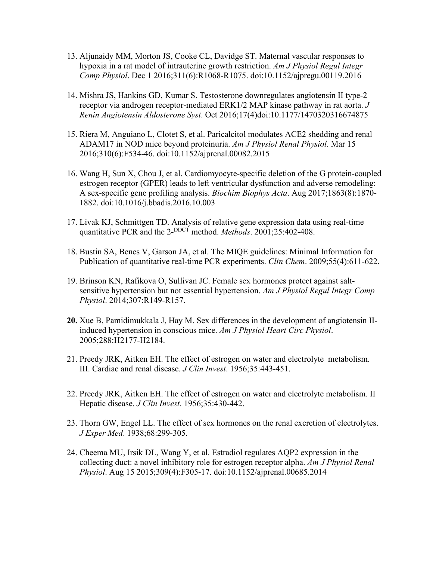- 13. Aljunaidy MM, Morton JS, Cooke CL, Davidge ST. Maternal vascular responses to hypoxia in a rat model of intrauterine growth restriction. *Am J Physiol Regul Integr Comp Physiol*. Dec 1 2016;311(6):R1068-R1075. doi:10.1152/ajpregu.00119.2016
- 14. Mishra JS, Hankins GD, Kumar S. Testosterone downregulates angiotensin II type-2 receptor via androgen receptor-mediated ERK1/2 MAP kinase pathway in rat aorta. *J Renin Angiotensin Aldosterone Syst*. Oct 2016;17(4)doi:10.1177/1470320316674875
- 15. Riera M, Anguiano L, Clotet S, et al. Paricalcitol modulates ACE2 shedding and renal ADAM17 in NOD mice beyond proteinuria. *Am J Physiol Renal Physiol*. Mar 15 2016;310(6):F534-46. doi:10.1152/ajprenal.00082.2015
- 16. Wang H, Sun X, Chou J, et al. Cardiomyocyte-specific deletion of the G protein-coupled estrogen receptor (GPER) leads to left ventricular dysfunction and adverse remodeling: A sex-specific gene profiling analysis. *Biochim Biophys Acta*. Aug 2017;1863(8):1870- 1882. doi:10.1016/j.bbadis.2016.10.003
- 17. Livak KJ, Schmittgen TD. Analysis of relative gene expression data using real-time quantitative PCR and the 2-<sup>DDCT</sup> method. Methods. 2001;25:402-408.
- 18. Bustin SA, Benes V, Garson JA, et al. The MIQE guidelines: Minimal Information for Publication of quantitative real-time PCR experiments. *Clin Chem*. 2009;55(4):611-622.
- 19. Brinson KN, Rafikova O, Sullivan JC. Female sex hormones protect against saltsensitive hypertension but not essential hypertension. *Am J Physiol Regul Integr Comp Physiol*. 2014;307:R149-R157.
- **20.** Xue B, Pamidimukkala J, Hay M. Sex differences in the development of angiotensin IIinduced hypertension in conscious mice. *Am J Physiol Heart Circ Physiol*. 2005;288:H2177-H2184.
- 21. Preedy JRK, Aitken EH. The effect of estrogen on water and electrolyte metabolism. III. Cardiac and renal disease. *J Clin Invest*. 1956;35:443-451.
- 22. Preedy JRK, Aitken EH. The effect of estrogen on water and electrolyte metabolism. II Hepatic disease. *J Clin Invest*. 1956;35:430-442.
- 23. Thorn GW, Engel LL. The effect of sex hormones on the renal excretion of electrolytes. *J Exper Med*. 1938;68:299-305.
- 24. Cheema MU, Irsik DL, Wang Y, et al. Estradiol regulates AQP2 expression in the collecting duct: a novel inhibitory role for estrogen receptor alpha. *Am J Physiol Renal Physiol*. Aug 15 2015;309(4):F305-17. doi:10.1152/ajprenal.00685.2014